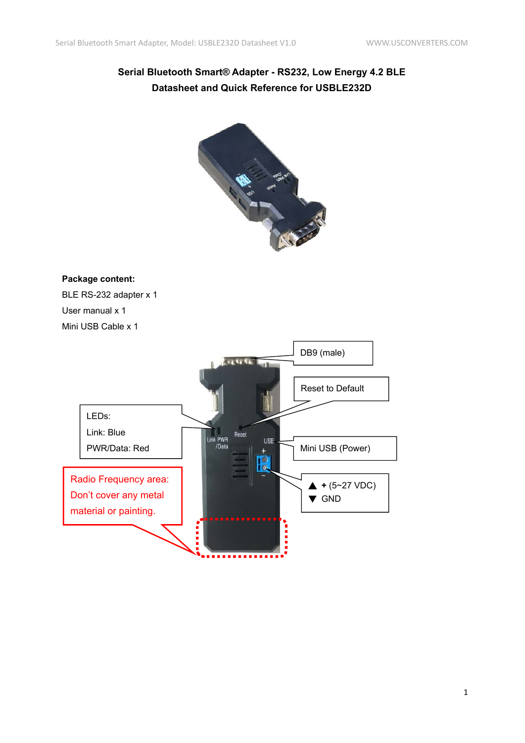# **Serial Bluetooth Smart® Adapter - RS232, Low Energy 4.2 BLE Datasheet and Quick Reference for USBLE232D**



#### **Package content:**

BLE RS-232 adapter x 1 User manual x 1 Mini USB Cable x 1

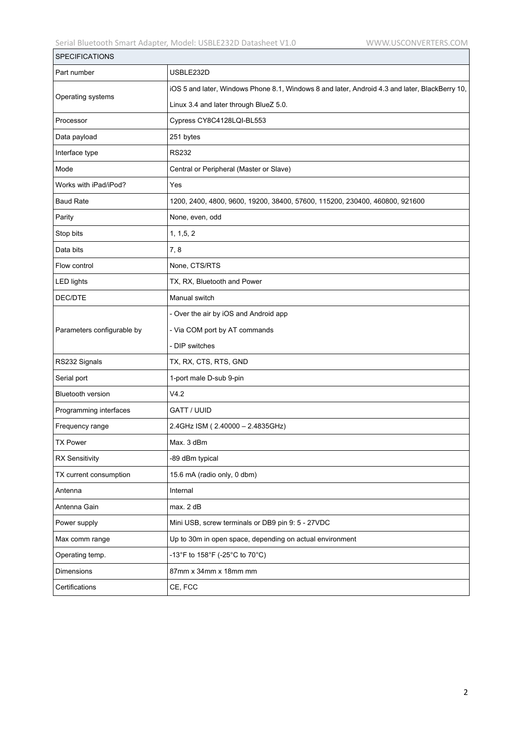| <b>SPECIFICATIONS</b>      |                                                                                                |
|----------------------------|------------------------------------------------------------------------------------------------|
| Part number                | USBLE232D                                                                                      |
| Operating systems          | iOS 5 and later, Windows Phone 8.1, Windows 8 and later, Android 4.3 and later, BlackBerry 10, |
|                            | Linux 3.4 and later through BlueZ 5.0.                                                         |
| Processor                  | Cypress CY8C4128LQI-BL553                                                                      |
| Data payload               | 251 bytes                                                                                      |
| Interface type             | <b>RS232</b>                                                                                   |
| Mode                       | Central or Peripheral (Master or Slave)                                                        |
| Works with iPad/iPod?      | Yes                                                                                            |
| <b>Baud Rate</b>           | 1200, 2400, 4800, 9600, 19200, 38400, 57600, 115200, 230400, 460800, 921600                    |
| Parity                     | None, even, odd                                                                                |
| Stop bits                  | 1, 1, 5, 2                                                                                     |
| Data bits                  | 7,8                                                                                            |
| Flow control               | None, CTS/RTS                                                                                  |
| <b>LED lights</b>          | TX, RX, Bluetooth and Power                                                                    |
| DEC/DTE                    | Manual switch                                                                                  |
|                            | - Over the air by iOS and Android app                                                          |
| Parameters configurable by | - Via COM port by AT commands                                                                  |
|                            | - DIP switches                                                                                 |
| RS232 Signals              | TX, RX, CTS, RTS, GND                                                                          |
| Serial port                | 1-port male D-sub 9-pin                                                                        |
| <b>Bluetooth version</b>   | V4.2                                                                                           |
| Programming interfaces     | <b>GATT / UUID</b>                                                                             |
| Frequency range            | 2.4GHz ISM (2.40000 - 2.4835GHz)                                                               |
| <b>TX Power</b>            | Max. 3 dBm                                                                                     |
| <b>RX Sensitivity</b>      | -89 dBm typical                                                                                |
| TX current consumption     | 15.6 mA (radio only, 0 dbm)                                                                    |
| Antenna                    | Internal                                                                                       |
| Antenna Gain               | max. 2 dB                                                                                      |
| Power supply               | Mini USB, screw terminals or DB9 pin 9: 5 - 27VDC                                              |
| Max comm range             | Up to 30m in open space, depending on actual environment                                       |
| Operating temp.            | -13°F to 158°F (-25°C to 70°C)                                                                 |
| Dimensions                 | 87mm x 34mm x 18mm mm                                                                          |
| Certifications             | CE, FCC                                                                                        |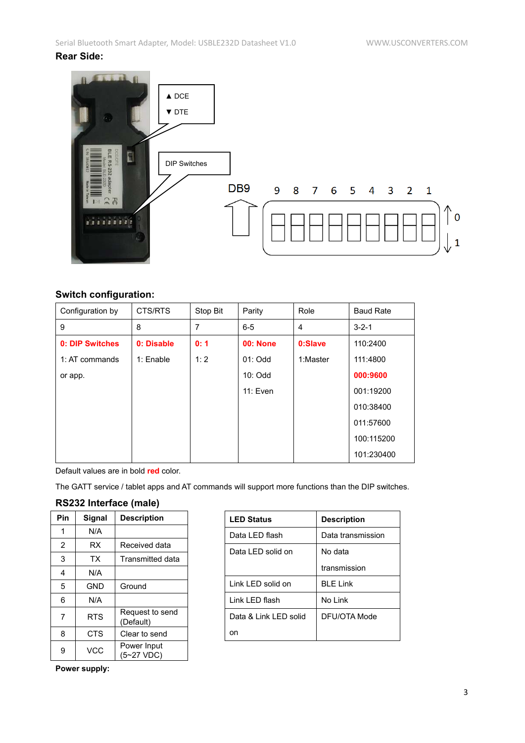### **Rear Side:**



### **Switch configuration:**

| Configuration by       | CTS/RTS    | Stop Bit | Parity          | Role     | <b>Baud Rate</b> |
|------------------------|------------|----------|-----------------|----------|------------------|
| 9                      | 8          | 7        | $6 - 5$         | 4        | $3 - 2 - 1$      |
| <b>0: DIP Switches</b> | 0: Disable | 0:1      | <b>00: None</b> | 0:Slave  | 110:2400         |
| 1: AT commands         | 1: Enable  | 1:2      | $01:$ Odd       | 1:Master | 111:4800         |
| or app.                |            |          | $10:$ Odd       |          | 000:9600         |
|                        |            |          | 11: Even        |          | 001:19200        |
|                        |            |          |                 |          | 010:38400        |
|                        |            |          |                 |          | 011:57600        |
|                        |            |          |                 |          | 100:115200       |
|                        |            |          |                 |          | 101:230400       |

Default values are in bold **red** color.

The GATT service / tablet apps and AT commands will support more functions than the DIP switches.

## **RS232 Interface (male)**

| Pin | Signal     | <b>Description</b>           |
|-----|------------|------------------------------|
| 1   | N/A        |                              |
| 2   | RX         | Received data                |
| 3   | ТX         | <b>Transmitted data</b>      |
| 4   | N/A        |                              |
| 5   | <b>GND</b> | Ground                       |
| 6   | N/A        |                              |
| 7   | <b>RTS</b> | Request to send<br>(Default) |
| 8   | <b>CTS</b> | Clear to send                |
| 9   | <b>VCC</b> | Power Input<br>(5~27 VDC)    |

| <b>LED Status</b>     | <b>Description</b> |
|-----------------------|--------------------|
| Data I FD flash       | Data transmission  |
| Data LED solid on     | No data            |
|                       | transmission       |
| Link LED solid on     | $BI$ F I ink       |
| Link LED flash        | No Link            |
| Data & Link LED solid | DEU/OTA Mode       |
| on                    |                    |

**Power supply:**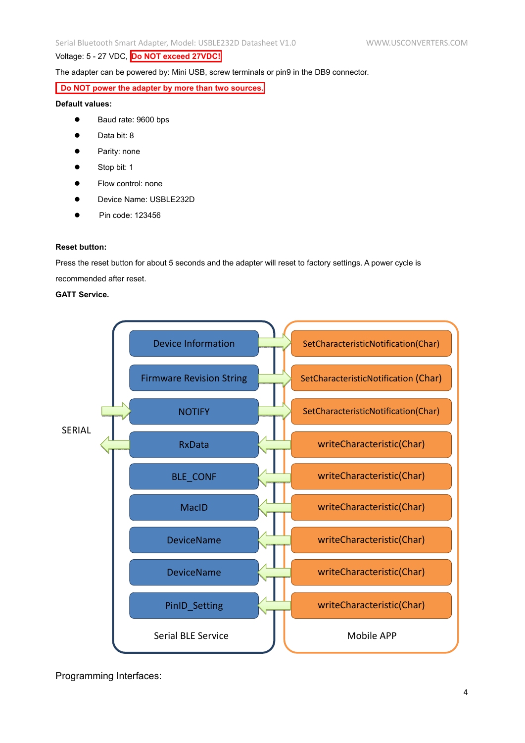#### Voltage: 5 - 27 VDC, **Do NOT exceed 27VDC!**

The adapter can be powered by: Mini USB, screw terminals or pin9 in the DB9 connector.

#### **Do NOT power the adapter by more than two sources.**

#### **Default values:**

- Baud rate: 9600 bps
- **Data bit: 8**
- Parity: none
- Stop bit: 1
- Flow control: none
- Device Name: USBLE232D
- Pin code: 123456

#### **Reset button:**

Press the reset button for about 5 seconds and the adapter will reset to factory settings. A power cycle is recommended after reset.

#### **GATT Service.**



Programming Interfaces: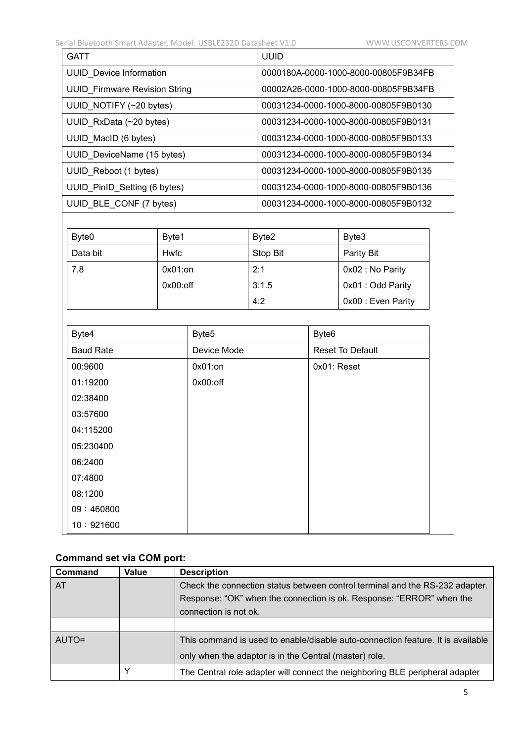| GATT                                 | UUID                                 |
|--------------------------------------|--------------------------------------|
| <b>UUID</b> Device Information       | 0000180A-0000-1000-8000-00805F9B34FB |
| <b>UUID Firmware Revision String</b> | 00002A26-0000-1000-8000-00805F9B34FB |
| UUID_NOTIFY (~20 bytes)              | 00031234-0000-1000-8000-00805F9B0130 |
| UUID_RxData (~20 bytes)              | 00031234-0000-1000-8000-00805F9B0131 |
| UUID_MacID (6 bytes)                 | 00031234-0000-1000-8000-00805F9B0133 |
| UUID_DeviceName (15 bytes)           | 00031234-0000-1000-8000-00805F9B0134 |
| UUID Reboot (1 bytes)                | 00031234-0000-1000-8000-00805F9B0135 |
| UUID PinID Setting (6 bytes)         | 00031234-0000-1000-8000-00805F9B0136 |
| UUID BLE CONF (7 bytes)              | 00031234-0000-1000-8000-00805F9B0132 |

| Byte <sub>0</sub> | Byte1       | Byte2    | Byte3              |
|-------------------|-------------|----------|--------------------|
| Data bit          | Hwfc        | Stop Bit | Parity Bit         |
| 7,8               | $0x01:$ on  | 2:1      | 0x02 : No Parity   |
|                   | $0x00:$ off | 3:1.5    | 0x01 : Odd Parity  |
|                   |             | 4:2      | 0x00 : Even Parity |

| Byte4            | Byte <sub>5</sub> | Byte <sub>6</sub>       |
|------------------|-------------------|-------------------------|
| <b>Baud Rate</b> | Device Mode       | <b>Reset To Default</b> |
| 00:9600          | $0x01:$ on        | 0x01: Reset             |
| 01:19200         | $0x00:$ off       |                         |
| 02:38400         |                   |                         |
| 03:57600         |                   |                         |
| 04:115200        |                   |                         |
| 05:230400        |                   |                         |
| 06:2400          |                   |                         |
| 07:4800          |                   |                         |
| 08:1200          |                   |                         |
| 09:460800        |                   |                         |
| 10:921600        |                   |                         |

# **Command set via COM port:**

| Command      | Value | <b>Description</b>                                                              |
|--------------|-------|---------------------------------------------------------------------------------|
| <b>AT</b>    |       | Check the connection status between control terminal and the RS-232 adapter.    |
|              |       | Response: "OK" when the connection is ok. Response: "ERROR" when the            |
|              |       | connection is not ok.                                                           |
|              |       |                                                                                 |
| <b>AUTO=</b> |       | This command is used to enable/disable auto-connection feature. It is available |
|              |       | only when the adaptor is in the Central (master) role.                          |
|              |       | The Central role adapter will connect the neighboring BLE peripheral adapter    |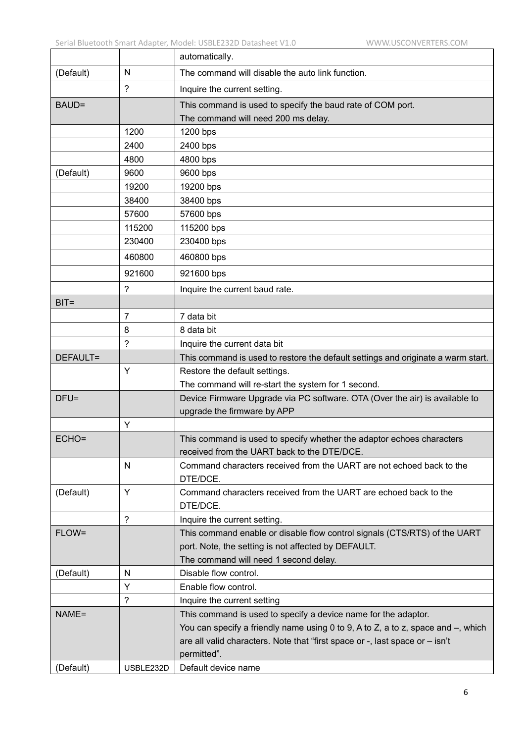|           |                | automatically.                                                                      |
|-----------|----------------|-------------------------------------------------------------------------------------|
| (Default) | N              | The command will disable the auto link function.                                    |
|           | $\overline{?}$ | Inquire the current setting.                                                        |
| BAUD=     |                | This command is used to specify the baud rate of COM port.                          |
|           |                | The command will need 200 ms delay.                                                 |
|           | 1200           | 1200 bps                                                                            |
|           | 2400           | 2400 bps                                                                            |
|           | 4800           | 4800 bps                                                                            |
| (Default) | 9600           | 9600 bps                                                                            |
|           | 19200          | 19200 bps                                                                           |
|           | 38400          | 38400 bps                                                                           |
|           | 57600          | 57600 bps                                                                           |
|           | 115200         | 115200 bps                                                                          |
|           | 230400         | 230400 bps                                                                          |
|           | 460800         | 460800 bps                                                                          |
|           | 921600         | 921600 bps                                                                          |
|           | ?              | Inquire the current baud rate.                                                      |
| $BIT =$   |                |                                                                                     |
|           | 7              | 7 data bit                                                                          |
|           | 8              | 8 data bit                                                                          |
|           | ?              | Inquire the current data bit                                                        |
| DEFAULT=  |                | This command is used to restore the default settings and originate a warm start.    |
|           | Y              | Restore the default settings.                                                       |
|           |                | The command will re-start the system for 1 second.                                  |
| $DFU =$   |                | Device Firmware Upgrade via PC software. OTA (Over the air) is available to         |
|           |                | upgrade the firmware by APP                                                         |
|           | Υ              |                                                                                     |
| ECHO=     |                | This command is used to specify whether the adaptor echoes characters               |
|           |                | received from the UART back to the DTE/DCE.                                         |
|           | N              | Command characters received from the UART are not echoed back to the<br>DTE/DCE.    |
| (Default) | Y              | Command characters received from the UART are echoed back to the<br>DTE/DCE.        |
|           | $\gamma$       | Inquire the current setting.                                                        |
| FLOW=     |                | This command enable or disable flow control signals (CTS/RTS) of the UART           |
|           |                | port. Note, the setting is not affected by DEFAULT.                                 |
|           |                | The command will need 1 second delay.                                               |
| (Default) | N              | Disable flow control.                                                               |
|           | Y              | Enable flow control.                                                                |
|           | $\tilde{?}$    | Inquire the current setting                                                         |
| NAME=     |                | This command is used to specify a device name for the adaptor.                      |
|           |                | You can specify a friendly name using 0 to 9, A to Z, a to z, space and $-$ , which |
|           |                | are all valid characters. Note that "first space or -, last space or - isn't        |
|           |                | permitted".                                                                         |
| (Default) | USBLE232D      | Default device name                                                                 |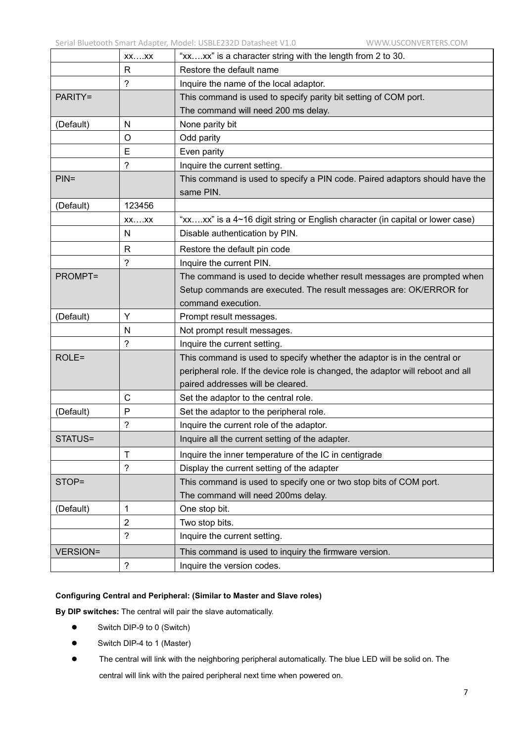|                 | $XX$ $XX$            | "xxxx" is a character string with the length from 2 to 30.                               |  |  |
|-----------------|----------------------|------------------------------------------------------------------------------------------|--|--|
|                 | $\mathsf{R}$         | Restore the default name                                                                 |  |  |
|                 | ?                    | Inquire the name of the local adaptor.                                                   |  |  |
| PARITY=         |                      | This command is used to specify parity bit setting of COM port.                          |  |  |
|                 |                      | The command will need 200 ms delay.                                                      |  |  |
| (Default)       | N                    | None parity bit                                                                          |  |  |
|                 | O                    | Odd parity                                                                               |  |  |
|                 | E                    | Even parity                                                                              |  |  |
|                 | $\gamma$             | Inquire the current setting.                                                             |  |  |
| $PIN =$         |                      | This command is used to specify a PIN code. Paired adaptors should have the<br>same PIN. |  |  |
| (Default)       | 123456               |                                                                                          |  |  |
|                 | $XX$ $XX$            | "xxxx" is a 4~16 digit string or English character (in capital or lower case)            |  |  |
|                 | N                    | Disable authentication by PIN.                                                           |  |  |
|                 | $\mathsf{R}$         | Restore the default pin code                                                             |  |  |
|                 | ?                    | Inquire the current PIN.                                                                 |  |  |
| <b>PROMPT=</b>  |                      | The command is used to decide whether result messages are prompted when                  |  |  |
|                 |                      | Setup commands are executed. The result messages are: OK/ERROR for                       |  |  |
|                 |                      | command execution.                                                                       |  |  |
| (Default)       | Y                    | Prompt result messages.                                                                  |  |  |
|                 | N                    | Not prompt result messages.                                                              |  |  |
|                 | $\tilde{?}$          | Inquire the current setting.                                                             |  |  |
| ROLE=           |                      | This command is used to specify whether the adaptor is in the central or                 |  |  |
|                 |                      | peripheral role. If the device role is changed, the adaptor will reboot and all          |  |  |
|                 |                      | paired addresses will be cleared.                                                        |  |  |
|                 | $\mathsf{C}$         | Set the adaptor to the central role.                                                     |  |  |
| (Default)       | P                    | Set the adaptor to the peripheral role.                                                  |  |  |
|                 | ?                    | Inquire the current role of the adaptor.                                                 |  |  |
| STATUS=         |                      | Inquire all the current setting of the adapter.                                          |  |  |
|                 | $\mathsf{T}$         | Inquire the inner temperature of the IC in centigrade                                    |  |  |
|                 | $\overline{?}$       | Display the current setting of the adapter                                               |  |  |
| STOP=           |                      | This command is used to specify one or two stop bits of COM port.                        |  |  |
|                 |                      | The command will need 200ms delay.                                                       |  |  |
| (Default)       | 1                    | One stop bit.                                                                            |  |  |
|                 | 2                    | Two stop bits.                                                                           |  |  |
|                 | $\overline{?}$       | Inquire the current setting.                                                             |  |  |
| <b>VERSION=</b> |                      | This command is used to inquiry the firmware version.                                    |  |  |
|                 | $\ddot{\phantom{0}}$ | Inquire the version codes.                                                               |  |  |

#### **Configuring Central and Peripheral: (Similar to Master and Slave roles)**

**By DIP switches:** The central will pair the slave automatically.

- Switch DIP-9 to 0 (Switch)
- Switch DIP-4 to 1 (Master)
- The central will link with the neighboring peripheral automatically. The blue LED will be solid on. The central will link with the paired peripheral next time when powered on.